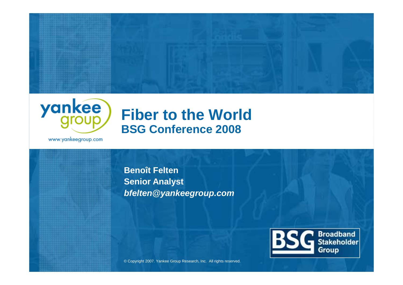



### **Fiber to the WorldBSG Conference 2008**

www.yankeegroup.com

**Benoît Felten Senior Analystbfelten@yankeegroup.com**



© Copyright 2007. Yankee Group Research, Inc. All rights reserved.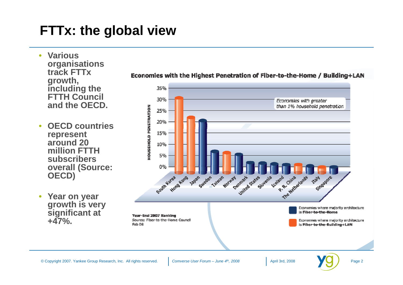### **FTTx: the global view**

- **Various organisations track FTTx growth, including the FTTH Council and the OECD.**
- • **OECD countries represent around 20 million FTTH subscribers overall (Source: OECD)**
- **Year on year growth is very significant at +47%.**



#### Economies with the Highest Penetration of Fiber-to-the-Home / Building+LAN

April 3rd, 2008 **Page 2** 

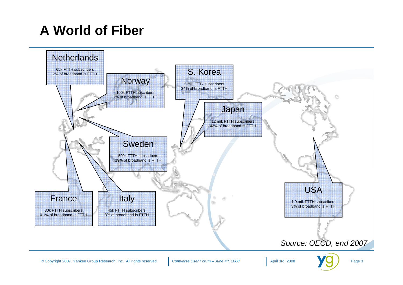# **A World of Fiber**

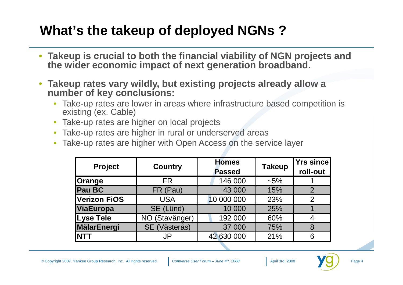### **What's the takeup of deployed NGNs ?**

- **Takeup is crucial to both the financial viability of NGN projects and the wider economic impact of next generation broadband.**
- • **Takeup rates vary wildly, but existing projects already allow a number of key conclusions:**
	- Take-up rates are lower in areas where infrastructure based competition is •existing (ex. Cable)
	- •Take-up rates are higher on local projects
	- Take-up rates are higher in rural or underserved areas•
	- Take-up rates are higher with Open Access on the service layer •

| <b>Project</b>      | <b>Country</b> | <b>Homes</b><br><b>Passed</b> | <b>Takeup</b> | <b>Yrs sincel</b><br>roll-out |
|---------------------|----------------|-------------------------------|---------------|-------------------------------|
| <b>Orange</b>       | <b>FR</b>      | 146 000                       | $~1.5\%$      |                               |
| <b>Pau BC</b>       | FR (Pau)       | 43 000                        | 15%           | $\overline{2}$                |
| <b>Verizon FiOS</b> | <b>USA</b>     | 10 000 000                    | 23%           | 2                             |
| ViaEuropa           | SE (Lünd)      | 10 000                        | 25%           |                               |
| <b>Lyse Tele</b>    | NO (Stavänger) | 192 000                       | 60%           |                               |
| MälarEnergi         | SE (Västerås)  | 37 000                        | 75%           | 8                             |
| <b>NTT</b>          | JP             | 42 630 000                    | 21%           | 6                             |

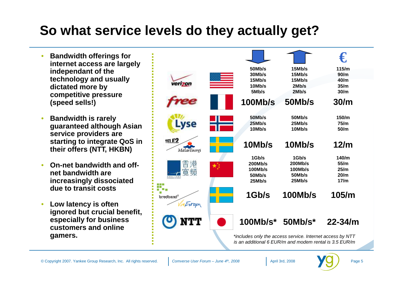### **So what service levels do they actually get?**

- • **Bandwidth offerings for internet access are largely independant of the technology and usually dictated more by competitive pressure (speed sells!)**
- • **Bandwidth is rarely guaranteed although Asian service providers are starting to integrate QoS in their offers (NTT, HKBN)**
- • **On-net bandwidth and offnet bandwidth are increasingly dissociated due to transit costs**
- • **Low latency is often ignored but crucial benefit, especially for business customers and online gamers.**



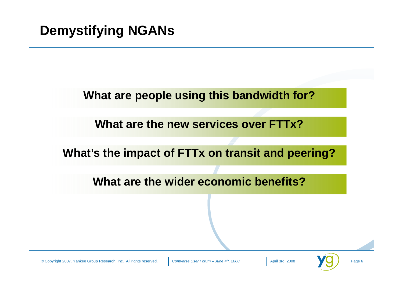### **What are people using this bandwidth for?**

**What are the new services over FTTx?**

**What's the impact of FTTx on transit and peering?**

**What are the wider economic benefits?**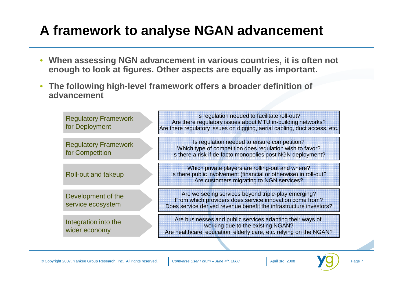# **A framework to analyse NGAN advancement**

- • **When assessing NGN advancement in various countries, it is often not enough to look at figures. Other aspects are equally as important.**
- $\bullet$  **The following high-level framework offers a broader definition of advancement**

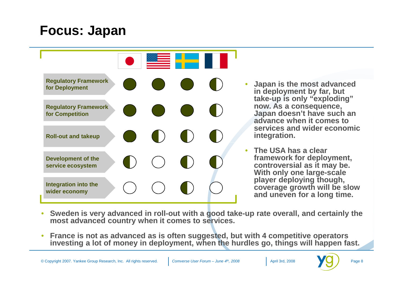### **Focus: Japan**



- **Japan is the most advanced in deployment by far, but take-up is only "exploding" now. As a consequence, Japan doesn't have such an advance when it comes to services and wider economic integration.**
- **The USA has a clear framework for deployment, controversial as it may be. With only one large-scale player deploying though, coverage growth will be slow and uneven for a long time.**
- $\bullet$  **Sweden is very advanced in roll-out with a good take-up rate overall, and certainly the most advanced country when it comes to services.**
- $\bullet$  **France is not as advanced as is often suggested, but with 4 competitive operators investing a lot of money in deployment, when the hurdles go, things will happen fast.**



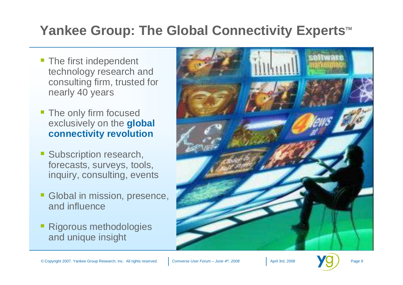### Yankee Group: The Global Connectivity Experts<sup>™</sup>

- The first independent technology research and consulting firm, trusted for nearly 40 years
- The only firm focused exclusively on the **global connectivity revolution**
- Subscription research, forecasts, surveys, tools, inquiry, consulting, events
- Global in mission, presence, and influence
- Rigorous methodologies and unique insight



April 3rd, 2008 **Page 9**